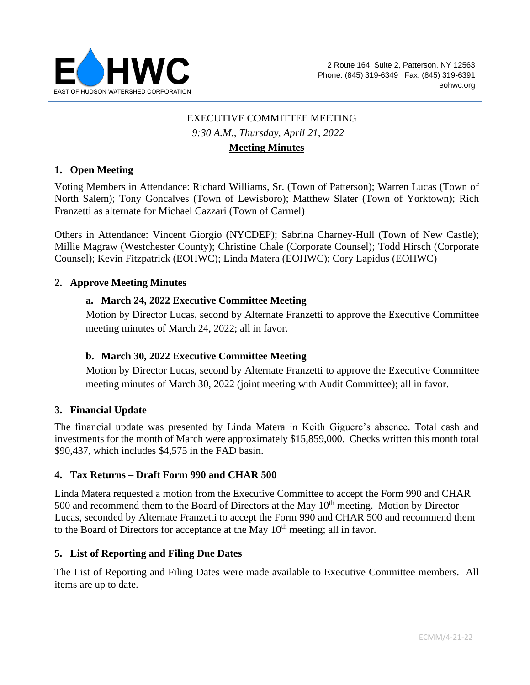

# EXECUTIVE COMMITTEE MEETING *9:30 A.M., Thursday, April 21, 2022* **Meeting Minutes**

### **1. Open Meeting**

Voting Members in Attendance: Richard Williams, Sr. (Town of Patterson); Warren Lucas (Town of North Salem); Tony Goncalves (Town of Lewisboro); Matthew Slater (Town of Yorktown); Rich Franzetti as alternate for Michael Cazzari (Town of Carmel)

Others in Attendance: Vincent Giorgio (NYCDEP); Sabrina Charney-Hull (Town of New Castle); Millie Magraw (Westchester County); Christine Chale (Corporate Counsel); Todd Hirsch (Corporate Counsel); Kevin Fitzpatrick (EOHWC); Linda Matera (EOHWC); Cory Lapidus (EOHWC)

#### **2. Approve Meeting Minutes**

#### **a. March 24, 2022 Executive Committee Meeting**

Motion by Director Lucas, second by Alternate Franzetti to approve the Executive Committee meeting minutes of March 24, 2022; all in favor.

#### **b. March 30, 2022 Executive Committee Meeting**

Motion by Director Lucas, second by Alternate Franzetti to approve the Executive Committee meeting minutes of March 30, 2022 (joint meeting with Audit Committee); all in favor.

#### **3. Financial Update**

The financial update was presented by Linda Matera in Keith Giguere's absence. Total cash and investments for the month of March were approximately \$15,859,000. Checks written this month total \$90,437, which includes \$4,575 in the FAD basin.

### **4. Tax Returns – Draft Form 990 and CHAR 500**

Linda Matera requested a motion from the Executive Committee to accept the Form 990 and CHAR 500 and recommend them to the Board of Directors at the May  $10<sup>th</sup>$  meeting. Motion by Director Lucas, seconded by Alternate Franzetti to accept the Form 990 and CHAR 500 and recommend them to the Board of Directors for acceptance at the May  $10<sup>th</sup>$  meeting; all in favor.

#### **5. List of Reporting and Filing Due Dates**

The List of Reporting and Filing Dates were made available to Executive Committee members. All items are up to date.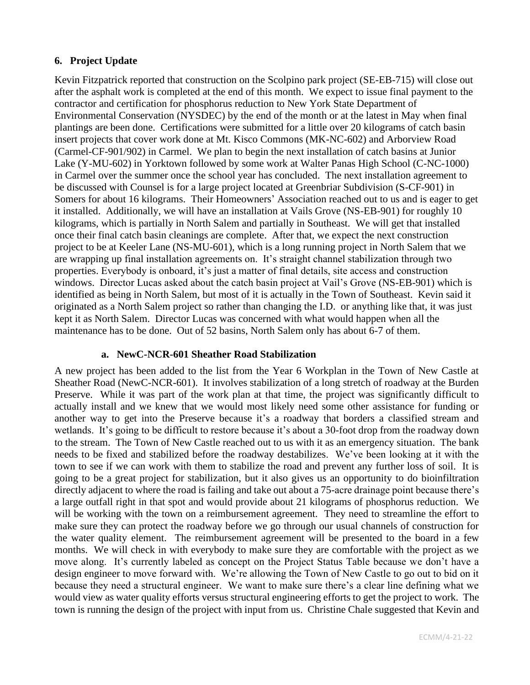### **6. Project Update**

Kevin Fitzpatrick reported that construction on the Scolpino park project (SE-EB-715) will close out after the asphalt work is completed at the end of this month. We expect to issue final payment to the contractor and certification for phosphorus reduction to New York State Department of Environmental Conservation (NYSDEC) by the end of the month or at the latest in May when final plantings are been done. Certifications were submitted for a little over 20 kilograms of catch basin insert projects that cover work done at Mt. Kisco Commons (MK-NC-602) and Arborview Road (Carmel-CF-901/902) in Carmel. We plan to begin the next installation of catch basins at Junior Lake (Y-MU-602) in Yorktown followed by some work at Walter Panas High School (C-NC-1000) in Carmel over the summer once the school year has concluded. The next installation agreement to be discussed with Counsel is for a large project located at Greenbriar Subdivision (S-CF-901) in Somers for about 16 kilograms. Their Homeowners' Association reached out to us and is eager to get it installed. Additionally, we will have an installation at Vails Grove (NS-EB-901) for roughly 10 kilograms, which is partially in North Salem and partially in Southeast. We will get that installed once their final catch basin cleanings are complete. After that, we expect the next construction project to be at Keeler Lane (NS-MU-601), which is a long running project in North Salem that we are wrapping up final installation agreements on. It's straight channel stabilization through two properties. Everybody is onboard, it's just a matter of final details, site access and construction windows. Director Lucas asked about the catch basin project at Vail's Grove (NS-EB-901) which is identified as being in North Salem, but most of it is actually in the Town of Southeast. Kevin said it originated as a North Salem project so rather than changing the I.D. or anything like that, it was just kept it as North Salem. Director Lucas was concerned with what would happen when all the maintenance has to be done. Out of 52 basins, North Salem only has about 6-7 of them.

### **a. NewC-NCR-601 Sheather Road Stabilization**

A new project has been added to the list from the Year 6 Workplan in the Town of New Castle at Sheather Road (NewC-NCR-601). It involves stabilization of a long stretch of roadway at the Burden Preserve. While it was part of the work plan at that time, the project was significantly difficult to actually install and we knew that we would most likely need some other assistance for funding or another way to get into the Preserve because it's a roadway that borders a classified stream and wetlands. It's going to be difficult to restore because it's about a 30-foot drop from the roadway down to the stream. The Town of New Castle reached out to us with it as an emergency situation. The bank needs to be fixed and stabilized before the roadway destabilizes. We've been looking at it with the town to see if we can work with them to stabilize the road and prevent any further loss of soil. It is going to be a great project for stabilization, but it also gives us an opportunity to do bioinfiltration directly adjacent to where the road is failing and take out about a 75-acre drainage point because there's a large outfall right in that spot and would provide about 21 kilograms of phosphorus reduction. We will be working with the town on a reimbursement agreement. They need to streamline the effort to make sure they can protect the roadway before we go through our usual channels of construction for the water quality element. The reimbursement agreement will be presented to the board in a few months. We will check in with everybody to make sure they are comfortable with the project as we move along. It's currently labeled as concept on the Project Status Table because we don't have a design engineer to move forward with. We're allowing the Town of New Castle to go out to bid on it because they need a structural engineer. We want to make sure there's a clear line defining what we would view as water quality efforts versus structural engineering efforts to get the project to work. The town is running the design of the project with input from us.Christine Chale suggested that Kevin and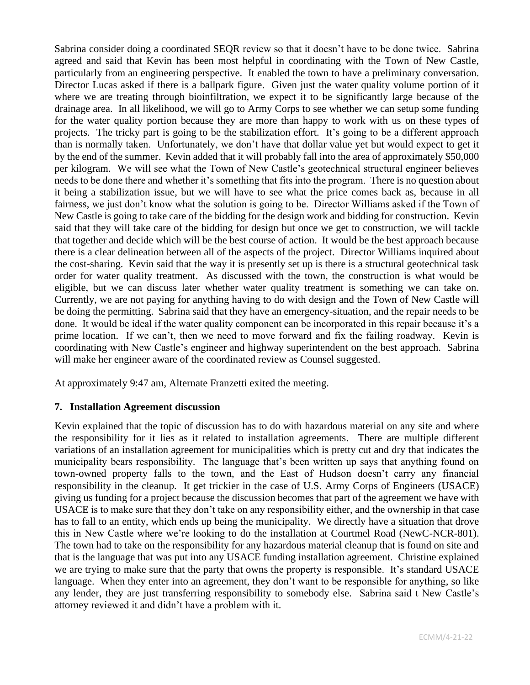Sabrina consider doing a coordinated SEQR review so that it doesn't have to be done twice. Sabrina agreed and said that Kevin has been most helpful in coordinating with the Town of New Castle, particularly from an engineering perspective. It enabled the town to have a preliminary conversation. Director Lucas asked if there is a ballpark figure. Given just the water quality volume portion of it where we are treating through bioinfiltration, we expect it to be significantly large because of the drainage area. In all likelihood, we will go to Army Corps to see whether we can setup some funding for the water quality portion because they are more than happy to work with us on these types of projects. The tricky part is going to be the stabilization effort. It's going to be a different approach than is normally taken. Unfortunately, we don't have that dollar value yet but would expect to get it by the end of the summer. Kevin added that it will probably fall into the area of approximately \$50,000 per kilogram. We will see what the Town of New Castle's geotechnical structural engineer believes needs to be done there and whether it's something that fits into the program. There is no question about it being a stabilization issue, but we will have to see what the price comes back as, because in all fairness, we just don't know what the solution is going to be. Director Williams asked if the Town of New Castle is going to take care of the bidding for the design work and bidding for construction. Kevin said that they will take care of the bidding for design but once we get to construction, we will tackle that together and decide which will be the best course of action. It would be the best approach because there is a clear delineation between all of the aspects of the project. Director Williams inquired about the cost-sharing. Kevin said that the way it is presently set up is there is a structural geotechnical task order for water quality treatment. As discussed with the town, the construction is what would be eligible, but we can discuss later whether water quality treatment is something we can take on. Currently, we are not paying for anything having to do with design and the Town of New Castle will be doing the permitting. Sabrina said that they have an emergency-situation, and the repair needs to be done. It would be ideal if the water quality component can be incorporated in this repair because it's a prime location. If we can't, then we need to move forward and fix the failing roadway. Kevin is coordinating with New Castle's engineer and highway superintendent on the best approach. Sabrina will make her engineer aware of the coordinated review as Counsel suggested.

At approximately 9:47 am, Alternate Franzetti exited the meeting.

## **7. Installation Agreement discussion**

Kevin explained that the topic of discussion has to do with hazardous material on any site and where the responsibility for it lies as it related to installation agreements. There are multiple different variations of an installation agreement for municipalities which is pretty cut and dry that indicates the municipality bears responsibility. The language that's been written up says that anything found on town-owned property falls to the town, and the East of Hudson doesn't carry any financial responsibility in the cleanup. It get trickier in the case of U.S. Army Corps of Engineers (USACE) giving us funding for a project because the discussion becomes that part of the agreement we have with USACE is to make sure that they don't take on any responsibility either, and the ownership in that case has to fall to an entity, which ends up being the municipality. We directly have a situation that drove this in New Castle where we're looking to do the installation at Courtmel Road (NewC-NCR-801). The town had to take on the responsibility for any hazardous material cleanup that is found on site and that is the language that was put into any USACE funding installation agreement. Christine explained we are trying to make sure that the party that owns the property is responsible. It's standard USACE language. When they enter into an agreement, they don't want to be responsible for anything, so like any lender, they are just transferring responsibility to somebody else. Sabrina said t New Castle's attorney reviewed it and didn't have a problem with it.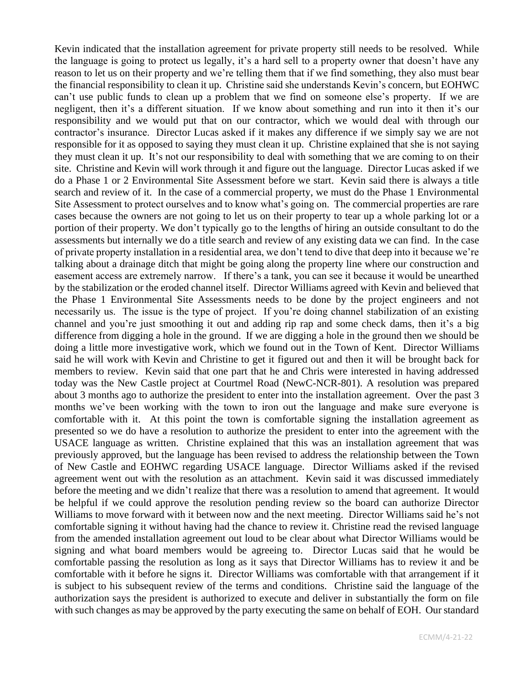Kevin indicated that the installation agreement for private property still needs to be resolved. While the language is going to protect us legally, it's a hard sell to a property owner that doesn't have any reason to let us on their property and we're telling them that if we find something, they also must bear the financial responsibility to clean it up. Christine said she understands Kevin's concern, but EOHWC can't use public funds to clean up a problem that we find on someone else's property. If we are negligent, then it's a different situation. If we know about something and run into it then it's our responsibility and we would put that on our contractor, which we would deal with through our contractor's insurance. Director Lucas asked if it makes any difference if we simply say we are not responsible for it as opposed to saying they must clean it up. Christine explained that she is not saying they must clean it up. It's not our responsibility to deal with something that we are coming to on their site. Christine and Kevin will work through it and figure out the language. Director Lucas asked if we do a Phase 1 or 2 Environmental Site Assessment before we start. Kevin said there is always a title search and review of it. In the case of a commercial property, we must do the Phase 1 Environmental Site Assessment to protect ourselves and to know what's going on. The commercial properties are rare cases because the owners are not going to let us on their property to tear up a whole parking lot or a portion of their property. We don't typically go to the lengths of hiring an outside consultant to do the assessments but internally we do a title search and review of any existing data we can find. In the case of private property installation in a residential area, we don't tend to dive that deep into it because we're talking about a drainage ditch that might be going along the property line where our construction and easement access are extremely narrow. If there's a tank, you can see it because it would be unearthed by the stabilization or the eroded channel itself. Director Williams agreed with Kevin and believed that the Phase 1 Environmental Site Assessments needs to be done by the project engineers and not necessarily us. The issue is the type of project. If you're doing channel stabilization of an existing channel and you're just smoothing it out and adding rip rap and some check dams, then it's a big difference from digging a hole in the ground. If we are digging a hole in the ground then we should be doing a little more investigative work, which we found out in the Town of Kent. Director Williams said he will work with Kevin and Christine to get it figured out and then it will be brought back for members to review. Kevin said that one part that he and Chris were interested in having addressed today was the New Castle project at Courtmel Road (NewC-NCR-801). A resolution was prepared about 3 months ago to authorize the president to enter into the installation agreement. Over the past 3 months we've been working with the town to iron out the language and make sure everyone is comfortable with it. At this point the town is comfortable signing the installation agreement as presented so we do have a resolution to authorize the president to enter into the agreement with the USACE language as written. Christine explained that this was an installation agreement that was previously approved, but the language has been revised to address the relationship between the Town of New Castle and EOHWC regarding USACE language. Director Williams asked if the revised agreement went out with the resolution as an attachment. Kevin said it was discussed immediately before the meeting and we didn't realize that there was a resolution to amend that agreement. It would be helpful if we could approve the resolution pending review so the board can authorize Director Williams to move forward with it between now and the next meeting. Director Williams said he's not comfortable signing it without having had the chance to review it. Christine read the revised language from the amended installation agreement out loud to be clear about what Director Williams would be signing and what board members would be agreeing to. Director Lucas said that he would be comfortable passing the resolution as long as it says that Director Williams has to review it and be comfortable with it before he signs it. Director Williams was comfortable with that arrangement if it is subject to his subsequent review of the terms and conditions. Christine said the language of the authorization says the president is authorized to execute and deliver in substantially the form on file with such changes as may be approved by the party executing the same on behalf of EOH. Our standard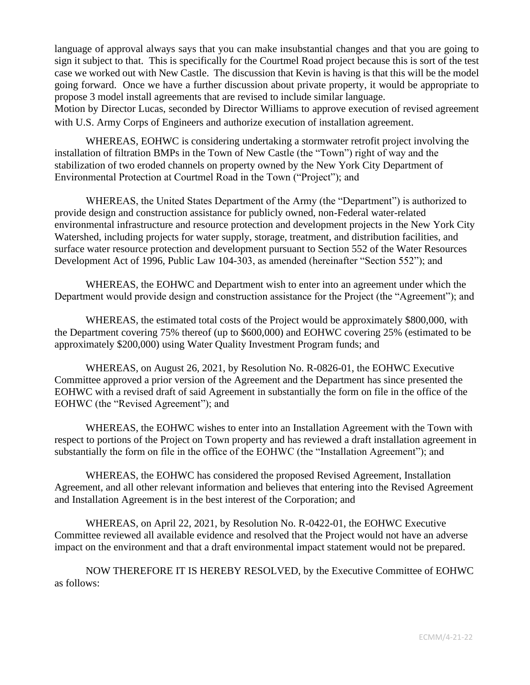language of approval always says that you can make insubstantial changes and that you are going to sign it subject to that. This is specifically for the Courtmel Road project because this is sort of the test case we worked out with New Castle. The discussion that Kevin is having is that this will be the model going forward. Once we have a further discussion about private property, it would be appropriate to propose 3 model install agreements that are revised to include similar language.

Motion by Director Lucas, seconded by Director Williams to approve execution of revised agreement with U.S. Army Corps of Engineers and authorize execution of installation agreement.

WHEREAS, EOHWC is considering undertaking a stormwater retrofit project involving the installation of filtration BMPs in the Town of New Castle (the "Town") right of way and the stabilization of two eroded channels on property owned by the New York City Department of Environmental Protection at Courtmel Road in the Town ("Project"); and

WHEREAS, the United States Department of the Army (the "Department") is authorized to provide design and construction assistance for publicly owned, non-Federal water-related environmental infrastructure and resource protection and development projects in the New York City Watershed, including projects for water supply, storage, treatment, and distribution facilities, and surface water resource protection and development pursuant to Section 552 of the Water Resources Development Act of 1996, Public Law 104-303, as amended (hereinafter "Section 552"); and

WHEREAS, the EOHWC and Department wish to enter into an agreement under which the Department would provide design and construction assistance for the Project (the "Agreement"); and

WHEREAS, the estimated total costs of the Project would be approximately \$800,000, with the Department covering 75% thereof (up to \$600,000) and EOHWC covering 25% (estimated to be approximately \$200,000) using Water Quality Investment Program funds; and

WHEREAS, on August 26, 2021, by Resolution No. R-0826-01, the EOHWC Executive Committee approved a prior version of the Agreement and the Department has since presented the EOHWC with a revised draft of said Agreement in substantially the form on file in the office of the EOHWC (the "Revised Agreement"); and

WHEREAS, the EOHWC wishes to enter into an Installation Agreement with the Town with respect to portions of the Project on Town property and has reviewed a draft installation agreement in substantially the form on file in the office of the EOHWC (the "Installation Agreement"); and

WHEREAS, the EOHWC has considered the proposed Revised Agreement, Installation Agreement, and all other relevant information and believes that entering into the Revised Agreement and Installation Agreement is in the best interest of the Corporation; and

WHEREAS, on April 22, 2021, by Resolution No. R-0422-01, the EOHWC Executive Committee reviewed all available evidence and resolved that the Project would not have an adverse impact on the environment and that a draft environmental impact statement would not be prepared.

NOW THEREFORE IT IS HEREBY RESOLVED, by the Executive Committee of EOHWC as follows: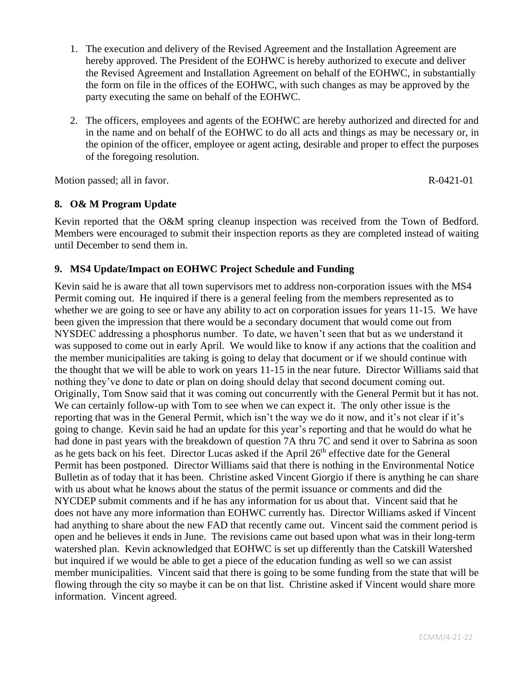- 1. The execution and delivery of the Revised Agreement and the Installation Agreement are hereby approved. The President of the EOHWC is hereby authorized to execute and deliver the Revised Agreement and Installation Agreement on behalf of the EOHWC, in substantially the form on file in the offices of the EOHWC, with such changes as may be approved by the party executing the same on behalf of the EOHWC.
- 2. The officers, employees and agents of the EOHWC are hereby authorized and directed for and in the name and on behalf of the EOHWC to do all acts and things as may be necessary or, in the opinion of the officer, employee or agent acting, desirable and proper to effect the purposes of the foregoing resolution.

Motion passed; all in favor. R-0421-01

## **8. O& M Program Update**

Kevin reported that the O&M spring cleanup inspection was received from the Town of Bedford. Members were encouraged to submit their inspection reports as they are completed instead of waiting until December to send them in.

### **9. MS4 Update/Impact on EOHWC Project Schedule and Funding**

Kevin said he is aware that all town supervisors met to address non-corporation issues with the MS4 Permit coming out. He inquired if there is a general feeling from the members represented as to whether we are going to see or have any ability to act on corporation issues for years 11-15. We have been given the impression that there would be a secondary document that would come out from NYSDEC addressing a phosphorus number. To date, we haven't seen that but as we understand it was supposed to come out in early April. We would like to know if any actions that the coalition and the member municipalities are taking is going to delay that document or if we should continue with the thought that we will be able to work on years 11-15 in the near future. Director Williams said that nothing they've done to date or plan on doing should delay that second document coming out. Originally, Tom Snow said that it was coming out concurrently with the General Permit but it has not. We can certainly follow-up with Tom to see when we can expect it. The only other issue is the reporting that was in the General Permit, which isn't the way we do it now, and it's not clear if it's going to change. Kevin said he had an update for this year's reporting and that he would do what he had done in past years with the breakdown of question 7A thru 7C and send it over to Sabrina as soon as he gets back on his feet. Director Lucas asked if the April 26<sup>th</sup> effective date for the General Permit has been postponed. Director Williams said that there is nothing in the Environmental Notice Bulletin as of today that it has been. Christine asked Vincent Giorgio if there is anything he can share with us about what he knows about the status of the permit issuance or comments and did the NYCDEP submit comments and if he has any information for us about that. Vincent said that he does not have any more information than EOHWC currently has. Director Williams asked if Vincent had anything to share about the new FAD that recently came out. Vincent said the comment period is open and he believes it ends in June. The revisions came out based upon what was in their long-term watershed plan. Kevin acknowledged that EOHWC is set up differently than the Catskill Watershed but inquired if we would be able to get a piece of the education funding as well so we can assist member municipalities. Vincent said that there is going to be some funding from the state that will be flowing through the city so maybe it can be on that list. Christine asked if Vincent would share more information. Vincent agreed.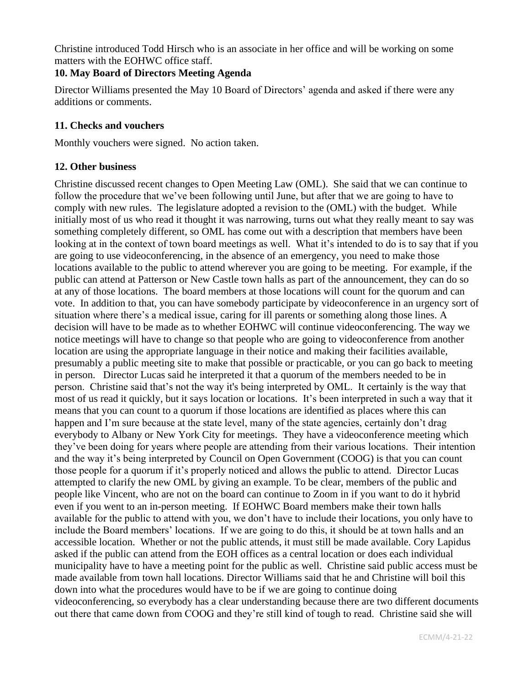Christine introduced Todd Hirsch who is an associate in her office and will be working on some matters with the EOHWC office staff.

### **10. May Board of Directors Meeting Agenda**

Director Williams presented the May 10 Board of Directors' agenda and asked if there were any additions or comments.

### **11. Checks and vouchers**

Monthly vouchers were signed. No action taken.

### **12. Other business**

Christine discussed recent changes to Open Meeting Law (OML). She said that we can continue to follow the procedure that we've been following until June, but after that we are going to have to comply with new rules. The legislature adopted a revision to the (OML) with the budget. While initially most of us who read it thought it was narrowing, turns out what they really meant to say was something completely different, so OML has come out with a description that members have been looking at in the context of town board meetings as well. What it's intended to do is to say that if you are going to use videoconferencing, in the absence of an emergency, you need to make those locations available to the public to attend wherever you are going to be meeting. For example, if the public can attend at Patterson or New Castle town halls as part of the announcement, they can do so at any of those locations. The board members at those locations will count for the quorum and can vote. In addition to that, you can have somebody participate by videoconference in an urgency sort of situation where there's a medical issue, caring for ill parents or something along those lines. A decision will have to be made as to whether EOHWC will continue videoconferencing. The way we notice meetings will have to change so that people who are going to videoconference from another location are using the appropriate language in their notice and making their facilities available, presumably a public meeting site to make that possible or practicable, or you can go back to meeting in person. Director Lucas said he interpreted it that a quorum of the members needed to be in person. Christine said that's not the way it's being interpreted by OML. It certainly is the way that most of us read it quickly, but it says location or locations. It's been interpreted in such a way that it means that you can count to a quorum if those locations are identified as places where this can happen and I'm sure because at the state level, many of the state agencies, certainly don't drag everybody to Albany or New York City for meetings. They have a videoconference meeting which they've been doing for years where people are attending from their various locations. Their intention and the way it's being interpreted by Council on Open Government (COOG) is that you can count those people for a quorum if it's properly noticed and allows the public to attend. Director Lucas attempted to clarify the new OML by giving an example. To be clear, members of the public and people like Vincent, who are not on the board can continue to Zoom in if you want to do it hybrid even if you went to an in-person meeting. If EOHWC Board members make their town halls available for the public to attend with you, we don't have to include their locations, you only have to include the Board members' locations. If we are going to do this, it should be at town halls and an accessible location. Whether or not the public attends, it must still be made available. Cory Lapidus asked if the public can attend from the EOH offices as a central location or does each individual municipality have to have a meeting point for the public as well. Christine said public access must be made available from town hall locations. Director Williams said that he and Christine will boil this down into what the procedures would have to be if we are going to continue doing videoconferencing, so everybody has a clear understanding because there are two different documents out there that came down from COOG and they're still kind of tough to read. Christine said she will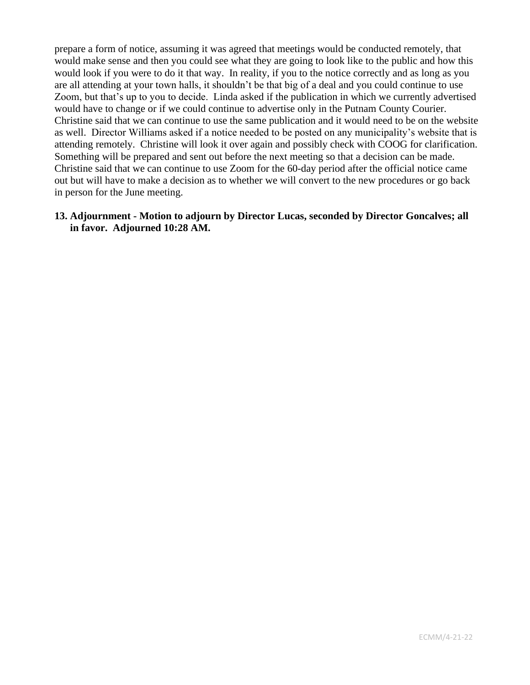prepare a form of notice, assuming it was agreed that meetings would be conducted remotely, that would make sense and then you could see what they are going to look like to the public and how this would look if you were to do it that way. In reality, if you to the notice correctly and as long as you are all attending at your town halls, it shouldn't be that big of a deal and you could continue to use Zoom, but that's up to you to decide. Linda asked if the publication in which we currently advertised would have to change or if we could continue to advertise only in the Putnam County Courier. Christine said that we can continue to use the same publication and it would need to be on the website as well. Director Williams asked if a notice needed to be posted on any municipality's website that is attending remotely. Christine will look it over again and possibly check with COOG for clarification. Something will be prepared and sent out before the next meeting so that a decision can be made. Christine said that we can continue to use Zoom for the 60-day period after the official notice came out but will have to make a decision as to whether we will convert to the new procedures or go back in person for the June meeting.

### **13. Adjournment - Motion to adjourn by Director Lucas, seconded by Director Goncalves; all in favor. Adjourned 10:28 AM.**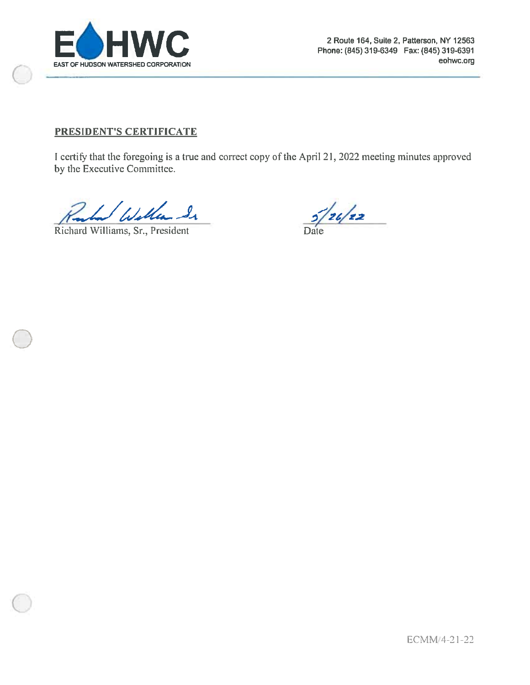

## PRESIDENT'S CERTIFICATE

I certify that the foregoing is a true and correct copy of the April 21, 2022 meeting minutes approved by the Executive Committee.

I Willen In

Richard Williams, Sr., President

 $\frac{5}{24}$